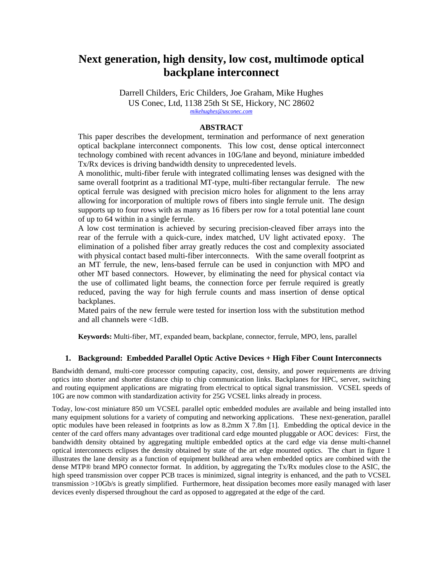# **Next generation, high density, low cost, multimode optical backplane interconnect**

Darrell Childers, Eric Childers, Joe Graham, Mike Hughes US Conec, Ltd, 1138 25th St SE, Hickory, NC 28602 *mikehughes@usconec.com*

## **ABSTRACT**

This paper describes the development, termination and performance of next generation optical backplane interconnect components. This low cost, dense optical interconnect technology combined with recent advances in 10G/lane and beyond, miniature imbedded Tx/Rx devices is driving bandwidth density to unprecedented levels.

A monolithic, multi-fiber ferule with integrated collimating lenses was designed with the same overall footprint as a traditional MT-type, multi-fiber rectangular ferrule. The new optical ferrule was designed with precision micro holes for alignment to the lens array allowing for incorporation of multiple rows of fibers into single ferrule unit. The design supports up to four rows with as many as 16 fibers per row for a total potential lane count of up to 64 within in a single ferrule.

A low cost termination is achieved by securing precision-cleaved fiber arrays into the rear of the ferrule with a quick-cure, index matched, UV light activated epoxy. The elimination of a polished fiber array greatly reduces the cost and complexity associated with physical contact based multi-fiber interconnects. With the same overall footprint as an MT ferrule, the new, lens-based ferrule can be used in conjunction with MPO and other MT based connectors. However, by eliminating the need for physical contact via the use of collimated light beams, the connection force per ferrule required is greatly reduced, paving the way for high ferrule counts and mass insertion of dense optical backplanes.

Mated pairs of the new ferrule were tested for insertion loss with the substitution method and all channels were <1dB.

**Keywords:** Multi-fiber, MT, expanded beam, backplane, connector, ferrule, MPO, lens, parallel

### **1. Background: Embedded Parallel Optic Active Devices + High Fiber Count Interconnects**

Bandwidth demand, multi-core processor computing capacity, cost, density, and power requirements are driving optics into shorter and shorter distance chip to chip communication links. Backplanes for HPC, server, switching and routing equipment applications are migrating from electrical to optical signal transmission. VCSEL speeds of 10G are now common with standardization activity for 25G VCSEL links already in process.

Today, low-cost miniature 850 um VCSEL parallel optic embedded modules are available and being installed into many equipment solutions for a variety of computing and networking applications. These next-generation, parallel optic modules have been released in footprints as low as 8.2mm X 7.8m [1]. Embedding the optical device in the center of the card offers many advantages over traditional card edge mounted pluggable or AOC devices: First, the bandwidth density obtained by aggregating multiple embedded optics at the card edge via dense multi-channel optical interconnects eclipses the density obtained by state of the art edge mounted optics. The chart in figure 1 illustrates the lane density as a function of equipment bulkhead area when embedded optics are combined with the dense MTP® brand MPO connector format. In addition, by aggregating the Tx/Rx modules close to the ASIC, the high speed transmission over copper PCB traces is minimized, signal integrity is enhanced, and the path to VCSEL transmission >10Gb/s is greatly simplified. Furthermore, heat dissipation becomes more easily managed with laser devices evenly dispersed throughout the card as opposed to aggregated at the edge of the card.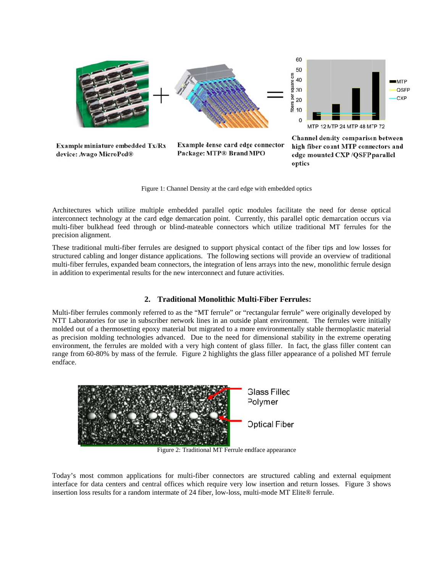

Figure 1: Channel Density at the card edge with embedded optics

Architectures which utilize multiple embedded parallel optic modules facilitate the need for dense optical interconnect technology at the card edge demarcation point. Currently, this parallel optic demarcation occurs via multi-fiber bulkhead feed through or blind-mateable connectors which utilize traditional MT ferrules for the precision alignment.

These traditional multi-fiber ferrules are designed to support physical contact of the fiber tips and low losses for structured cabling and longer distance applications. The following sections will provide an overview of traditional multi-fiber ferrules, expanded beam connectors, the integration of lens arrays into the new, monolithic ferrule design in addition to experimental results for the new interconnect and future activities.

### 2. Traditional Monolithic Multi-Fiber Ferrules:

Multi-fiber ferrules commonly referred to as the "MT ferrule" or "rectangular ferrule" were originally developed by NTT Laboratories for use in subscriber network lines in an outside plant environment. The ferrules were initially molded out of a thermosetting epoxy material but migrated to a more environmentally stable thermoplastic material as precision molding technologies advanced. Due to the need for dimensional stability in the extreme operating environment, the ferrules are molded with a very high content of glass filler. In fact, the glass filler content can range from 60-80% by mass of the ferrule. Figure 2 highlights the glass filler appearance of a polished MT ferrule endface.



Figure 2: Traditional MT Ferrule endface appearance

Today's most common applications for multi-fiber connectors are structured cabling and external equipment interface for data centers and central offices which require very low insertion and return losses. Figure 3 shows insertion loss results for a random intermate of 24 fiber, low-loss, multi-mode MT Elite® ferrule.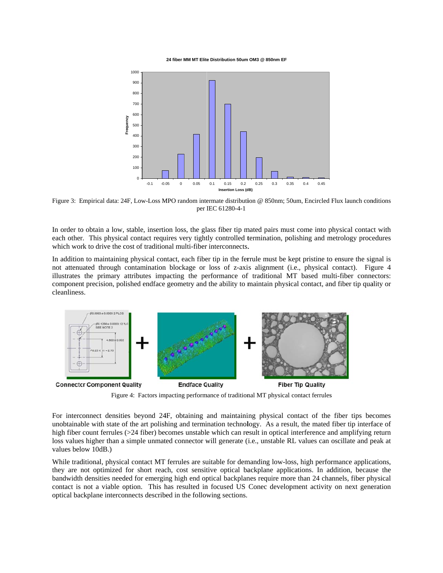24 fiber MM MT Elite Distribution 50um OM3 @ 850nm EF



Figure 3: Empirical data: 24F, Low-Loss MPO random intermate distribution @ 850nm; 50um, Encircled Flux launch conditions per IEC 61280-4-1

In order to obtain a low, stable, insertion loss, the glass fiber tip mated pairs must come into physical contact with each other. This physical contact requires very tightly controlled termination, polishing and metrology procedures which work to drive the cost of traditional multi-fiber interconnects.

In addition to maintaining physical contact, each fiber tip in the ferrule must be kept pristine to ensure the signal is not attenuated through contamination blockage or loss of z-axis alignment (i.e., physical contact). Figure 4 illustrates the primary attributes impacting the performance of traditional MT based multi-fiber connectors: component precision, polished endface geometry and the ability to maintain physical contact, and fiber tip quality or cleanliness.



Figure 4: Factors impacting performance of traditional MT physical contact ferrules

For interconnect densities beyond 24F, obtaining and maintaining physical contact of the fiber tips becomes unobtainable with state of the art polishing and termination technology. As a result, the mated fiber tip interface of high fiber count ferrules (>24 fiber) becomes unstable which can result in optical interference and amplifying return loss values higher than a simple unmated connector will generate (i.e., unstable RL values can oscillate and peak at values below 10dB.)

While traditional, physical contact MT ferrules are suitable for demanding low-loss, high performance applications, they are not optimized for short reach, cost sensitive optical backplane applications. In addition, because the bandwidth densities needed for emerging high end optical backplanes require more than 24 channels, fiber physical contact is not a viable option. This has resulted in focused US Conec development activity on next generation optical backplane interconnects described in the following sections.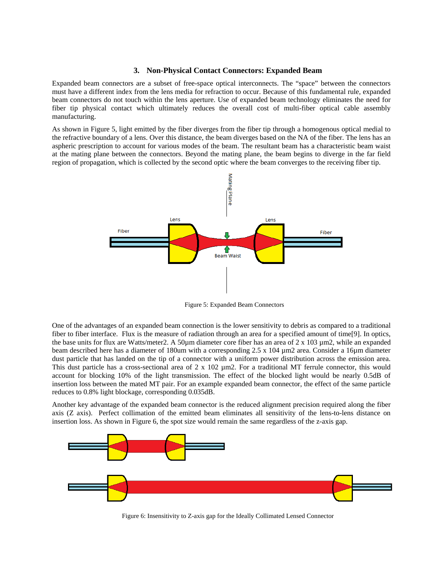### **3. Non-Physical Contact Connectors: Expanded Beam**

Expanded beam connectors are a subset of free-space optical interconnects. The "space" between the connectors must have a different index from the lens media for refraction to occur. Because of this fundamental rule, expanded beam connectors do not touch within the lens aperture. Use of expanded beam technology eliminates the need for fiber tip physical contact which ultimately reduces the overall cost of multi-fiber optical cable assembly manufacturing.

As shown in Figure 5, light emitted by the fiber diverges from the fiber tip through a homogenous optical medial to the refractive boundary of a lens. Over this distance, the beam diverges based on the NA of the fiber. The lens has an aspheric prescription to account for various modes of the beam. The resultant beam has a characteristic beam waist at the mating plane between the connectors. Beyond the mating plane, the beam begins to diverge in the far field region of propagation, which is collected by the second optic where the beam converges to the receiving fiber tip.



Figure 5: Expanded Beam Connectors

One of the advantages of an expanded beam connection is the lower sensitivity to debris as compared to a traditional fiber to fiber interface. Flux is the measure of radiation through an area for a specified amount of time[9]. In optics, the base units for flux are Watts/meter2. A 50µm diameter core fiber has an area of 2 x 103 µm2, while an expanded beam described here has a diameter of 180um with a corresponding 2.5 x 104 µm2 area. Consider a 16µm diameter dust particle that has landed on the tip of a connector with a uniform power distribution across the emission area. This dust particle has a cross-sectional area of  $2 \times 102 \mu m$ 2. For a traditional MT ferrule connector, this would account for blocking 10% of the light transmission. The effect of the blocked light would be nearly 0.5dB of insertion loss between the mated MT pair. For an example expanded beam connector, the effect of the same particle reduces to 0.8% light blockage, corresponding 0.035dB.

Another key advantage of the expanded beam connector is the reduced alignment precision required along the fiber axis (Z axis). Perfect collimation of the emitted beam eliminates all sensitivity of the lens-to-lens distance on insertion loss. As shown in Figure 6, the spot size would remain the same regardless of the z-axis gap.



Figure 6: Insensitivity to Z-axis gap for the Ideally Collimated Lensed Connector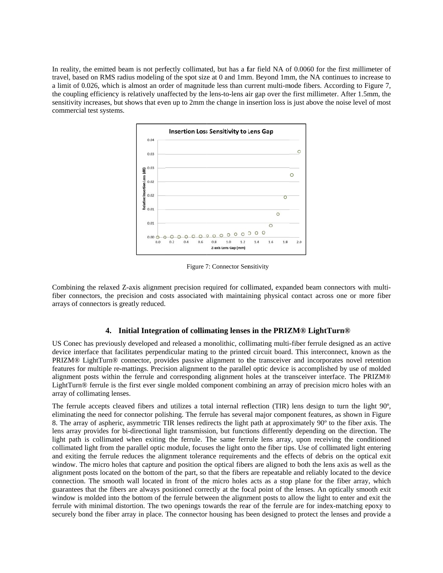In reality, the emitted beam is not perfectly collimated, but has a far field NA of 0.0060 for the first millimeter of travel, based on RMS radius modeling of the spot size at 0 and 1mm. Beyond 1mm, the NA continues to increase to a limit of 0.026, which is almost an order of magnitude less than current multi-mode fibers. According to Figure 7, the coupling efficiency is relatively unaffected by the lens-to-lens air gap over the first millimeter. After 1.5mm, the sensitivity increases, but shows that even up to 2mm the change in insertion loss is just above the noise level of most commercial test systems.



Figure 7: Connector Sensitivity

Combining the relaxed Z-axis alignment precision required for collimated, expanded beam connectors with multifiber connectors, the precision and costs associated with maintaining physical contact across one or more fiber arrays of connectors is greatly reduced.

# **4.** Initial Integration of collimating lenses in the PRIZM® LightTurn®

US Conec has previously developed and released a monolithic, collimating multi-fiber ferrule designed as an active device interface that facilitates perpendicular mating to the printed circuit board. This interconnect, known as the PRIZM® LightTurn® connector, provides passive alignment to the transceiver and incorporates novel retention features for multiple re-mattings. Precision alignment to the parallel optic device is accomplished by use of molded alignment posts within the ferrule and corresponding alignment holes at the transceiver interface. The PRIZM® LightTurn® ferrule is the first ever single molded component combining an array of precision micro holes with an array of collimating lenses.

The ferrule accepts cleaved fibers and utilizes a total internal reflection (TIR) lens design to turn the light 90°, eliminating the need for connector polishing. The ferrule has several major component features, as shown in Figure 8. The array of aspheric, asymmetric TIR lenses redirects the light path at approximately 90° to the fiber axis. The lens array provides for bi-directional light transmission, but functions differently depending on the direction. The light path is collimated when exiting the ferrule. The same ferrule lens array, upon receiving the conditioned collimated light from the parallel optic module, focuses the light onto the fiber tips. Use of collimated light entering and exiting the ferrule reduces the alignment tolerance requirements and the effects of debris on the optical exit window. The micro holes that capture and position the optical fibers are aligned to both the lens axis as well as the alignment posts located on the bottom of the part, so that the fibers are repeatable and reliably located to the device connection. The smooth wall located in front of the micro holes acts as a stop plane for the fiber array, which guarantees that the fibers are always positioned correctly at the focal point of the lenses. An optically smooth exit window is molded into the bottom of the ferrule between the alignment posts to allow the light to enter and exit the ferrule with minimal distortion. The two openings towards the rear of the ferrule are for index-matching epoxy to securely bond the fiber array in place. The connector housing has been designed to protect the lenses and provide a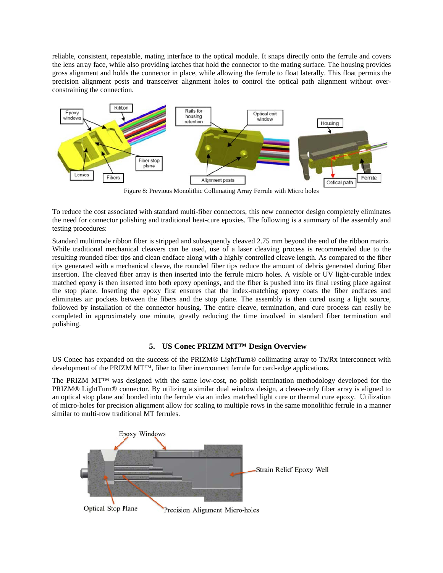reliable, consistent, repeatable, mating interface to the optical module. It snaps directly onto the ferrule and covers the lens array face, while also providing latches that hold the connector to the mating surface. The housing provides gross alignment and holds the connector in place, while allowing the ferrule to float laterally. This float permits the precision alignment posts and transceiver alignment holes to control the optical path alignment without overconstraining the connection.



Figure 8: Previous Monolithic Collimating Array Ferrule with Micro holes

To reduce the cost associated with standard multi-fiber connectors, this new connector design completely eliminates the need for connector polishing and traditional heat-cure epoxies. The following is a summary of the assembly and testing pro cedures:

Standard multimode ribbon fiber is stripped and subsequently cleaved 2.75 mm beyond the end of the ribbon matrix. While traditional mechanical cleavers can be used, use of a laser cleaving process is recommended due to the resulting rounded fiber tips and clean endface along with a highly controlled cleave length. As compared to the fiber tips generated with a mechanical cleave, the rounded fiber tips reduce the amount of debris generated during fiber insertion. The cleaved fiber array is then inserted into the ferrule micro holes. A visible or UV light-curable index matched epoxy is then inserted into both epoxy openings, and the fiber is pushed into its final resting place against the stop plane. Inserting the epoxy first ensures that the index-matching epoxy coats the fiber endfaces and eliminates air pockets between the fibers and the stop plane. The assembly is then cured using a light source, followed by installation of the connector housing. The entire cleave, termination, and cure process can easily be completed in approximately one minute, greatly reducing the time involved in standard fiber termination and polishing.

# 5. **US Conec PRIZM MT<sup>TM</sup> Design Overview**

US Conec has expanded on the success of the PRIZM® LightTurn® collimating array to Tx/Rx interconnect with development of the PRIZM  $MT^{TM}$ , fiber to fiber interconnect ferrule for card-edge applications.

The PRIZM MT™ was designed with the same low-cost, no polish termination methodology developed for the PRIZM® LightTurn® connector. By utilizing a similar dual window design, a cleave-only fiber array is aligned to an optical stop plane and bonded into the ferrule via an index matched light cure or thermal cure epoxy. Utilization of micro-holes for precision alignment allow for scaling to multiple rows in the same monolithic ferrule in a manner similar to multi-row traditional MT ferrules.

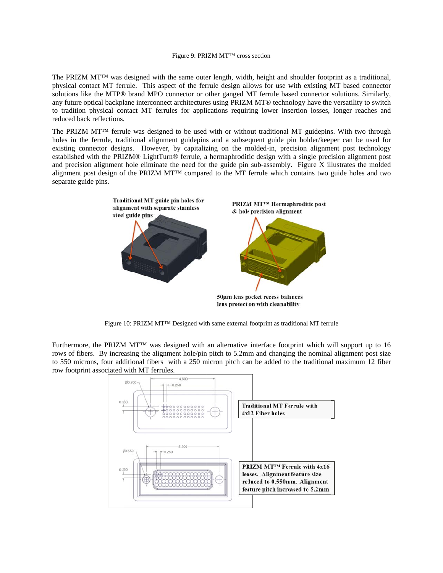#### Figure 9: PRIZM MT™ cross section

The PRIZM MT<sup>™</sup> was designed with the same outer length, width, height and shoulder footprint as a traditional, physical contact MT ferrule. This aspect of the ferrule design allows for use with existing MT based connector solutions like the MTP® brand MPO connector or other ganged MT ferrule based connector solutions. Similarly, any future optical backplane interconnect architectures using PRIZM MT® technology have the versatility to switch to tradition physical contact MT ferrules for applications requiring lower insertion losses, longer reaches and reduced back reflections.

The PRIZM MT<sup>™</sup> ferrule was designed to be used with or without traditional MT guidepins. With two through holes in the ferrule, traditional alignment guidepins and a subsequent guide pin holder/keeper can be used for existing connector designs. However, by capitalizing on the molded-in, precision alignment post technology established with the PRIZM® LightTurn® ferrule, a hermaphroditic design with a single precision alignment post and precision alignment hole eliminate the need for the guide pin sub-assembly. Figure X illustrates the molded alignment post design of the PRIZM MT<sup>TM</sup> compared to the MT ferrule which contains two guide holes and two separate guide pins.



Figure 10: PRIZM MT™ Designed with same external footprint as traditional MT ferrule

Furthermore, the PRIZM MT™ was designed with an alternative interface footprint which will support up to 16 rows of fibers. By increasing the alignment hole/pin pitch to 5.2mm and changing the nominal alignment post size to 550 microns, four additional fibers with a 250 micron pitch can be added to the traditional maximum 12 fiber row footprint associated with MT ferrules.

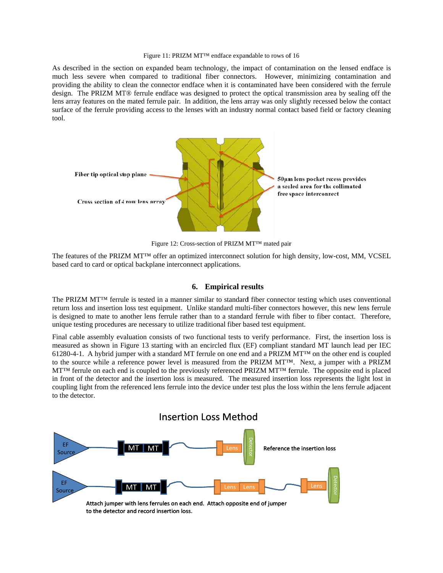#### Figure 11: PRIZM MT™ endface expandable to rows of 16

As described in the section on expanded beam technology, the impact of contamination on the lensed endface is much less severe when compared to traditional fiber connectors. However, minimizing contamination and providing the ability to clean the connector endface when it is contaminated have been considered with the ferrule design. The PRIZM MT® ferrule endface was designed to protect the optical transmission area by sealing off the lens array features on the mated ferrule pair. In addition, the lens array was only slightly recessed below the contact surface of the ferrule providing access to the lenses with an industry normal contact based field or factory cleaning tool.



Figure 12: Cross-section of PRIZM MT™ mated pair

Figure 12: Cross-section of PRIZM MT™ mated pair<br>The features of the PRIZM MT™ offer an optimized interconnect solution for high density, low-cost, MM, VCSEL based card to card or optical backplane interconnect applications.

### **6. E Empirical re sults**

The PRIZM MT<sup>™</sup> ferrule is tested in a manner similar to standard fiber connector testing which uses conventional return loss and insertion loss test equipment. Unlike standard multi-fiber connectors however, this new lens ferrule is designed to mate to another lens ferrule rather than to a standard ferrule with fiber to fiber contact. Therefore, unique testing procedures are necessary to utilize traditional fiber based test equipment.

Final cable assembly evaluation consists of two functional tests to verify performance. First, the insertion loss is measured as shown in Figure 13 starting with an encircled flux (EF) compliant standard MT launch lead per IEC 61280-4-1. A hybrid jumper with a standard MT ferrule on one end and a PRIZM MT<sup>TM</sup> on the other end is coupled to the source while a reference power level is measured from the PRIZM  $MT^{M}$ . Next, a jumper with a PRIZM  $M$ T<sup>™</sup> ferrule on each end is coupled to the previously referenced PRIZM  $M$ T<sup>™</sup> ferrule. The opposite end is placed in front of the detector and the insertion loss is measured. The measured insertion loss represents the light lost in coupling light from the referenced lens ferrule into the device under test plus the loss within the lens ferrule adjacent to the detector.

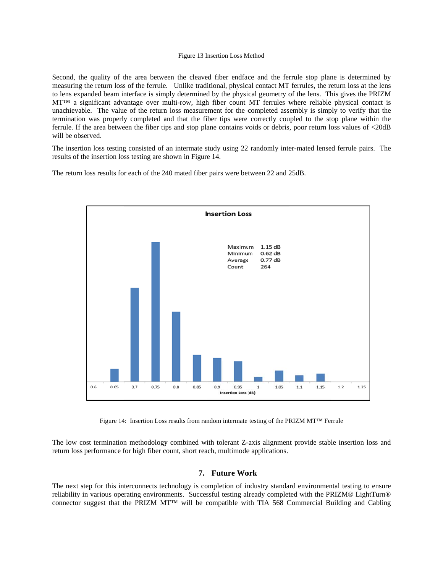#### Figure 13 I Insertion Loss M Method

Second, the quality of the area between the cleaved fiber endface and the ferrule stop plane is determined by measuring the return loss of the ferrule. Unlike traditional, physical contact MT ferrules, the return loss at the lens to lens expanded beam interface is simply determined by the physical geometry of the lens. This gives the PRIZM MT<sup>™</sup> a significant advantage over multi-row, high fiber count MT ferrules where reliable physical contact is unachievable. The value of the return loss measurement for the completed assembly is simply to verify that the termination was properly completed and that the fiber tips were correctly coupled to the stop plane within the ferrule. If the area between the fiber tips and stop plane contains voids or debris, poor return loss values of <20dB will be observed.

The insertion loss testing consisted of an intermate study using 22 randomly inter-mated lensed ferrule pairs. The results of the insertion loss testing are shown in Figure 14.

The return loss results for each of the 240 mated fiber pairs were between 22 and 25dB.



Figure 14: Insertion Loss results from random intermate testing of the PRIZM MT<sup>™</sup> Ferrule

The low cost termination methodology combined with tolerant Z-axis alignment provide stable insertion loss and return loss performance for high fiber count, short reach, multimode applications.

### **7.** Future Work

The next step for this interconnects technology is completion of industry standard environmental testing to ensure reliability in various operating environments. Successful testing already completed with the PRIZM® LightTurn® connector suggest that the PRIZM MT™ will be compatible with TIA 568 Commercial Building and Cabling